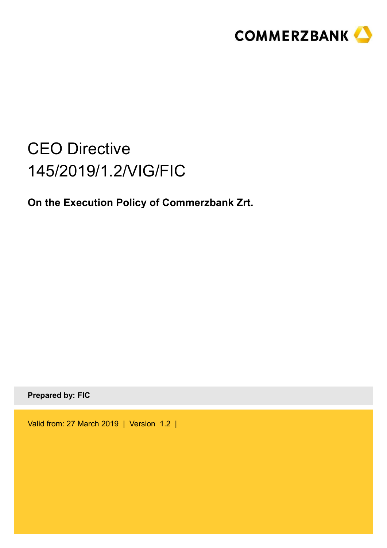

# CEO Directive 145/2019/1.2/VIG/FIC

**On the Execution Policy of Commerzbank Zrt.**

**Prepared by: FIC** 

Valid from: 27 March 2019 | Version 1.2 |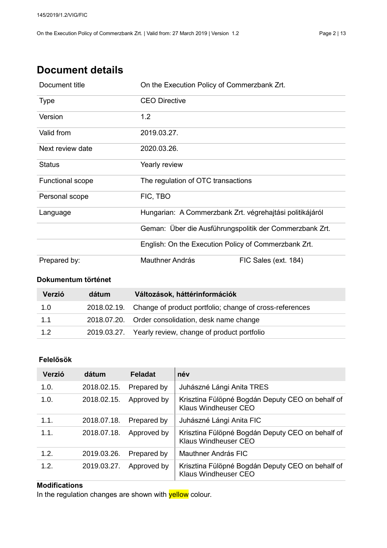## **Document details**

| Document title          | On the Execution Policy of Commerzbank Zrt.              |  |  |  |  |
|-------------------------|----------------------------------------------------------|--|--|--|--|
| <b>Type</b>             | <b>CEO Directive</b>                                     |  |  |  |  |
| Version                 | 1.2                                                      |  |  |  |  |
| Valid from              | 2019.03.27.                                              |  |  |  |  |
| Next review date        | 2020.03.26.                                              |  |  |  |  |
| <b>Status</b>           | Yearly review                                            |  |  |  |  |
| <b>Functional scope</b> | The regulation of OTC transactions                       |  |  |  |  |
| Personal scope          | FIC, TBO                                                 |  |  |  |  |
| Language                | Hungarian: A Commerzbank Zrt. végrehajtási politikájáról |  |  |  |  |
|                         | Geman: Über die Ausführungspolitik der Commerzbank Zrt.  |  |  |  |  |
|                         | English: On the Execution Policy of Commerzbank Zrt.     |  |  |  |  |
| Prepared by:            | Mauthner András<br>FIC Sales (ext. 184)                  |  |  |  |  |

#### **Dokumentum történet**

| Verzió | dátum | Változások, háttérinformációk                                       |
|--------|-------|---------------------------------------------------------------------|
| 1.0    |       | 2018.02.19. Change of product portfolio; change of cross-references |
| 1.1    |       | 2018.07.20. Order consolidation, desk name change                   |
| 1.2    |       | 2019.03.27. Yearly review, change of product portfolio              |

#### **Felelősök**

| <b>Verzió</b> | dátum       | <b>Feladat</b> | név                                                                      |
|---------------|-------------|----------------|--------------------------------------------------------------------------|
| 1.0.          | 2018.02.15. | Prepared by    | Juhászné Lángi Anita TRES                                                |
| 1.0.          | 2018.02.15. | Approved by    | Krisztina Fülöpné Bogdán Deputy CEO on behalf of<br>Klaus Windheuser CEO |
| 1.1.          | 2018.07.18. | Prepared by    | Juhászné Lángi Anita FIC                                                 |
| 1.1.          | 2018.07.18. | Approved by    | Krisztina Fülöpné Bogdán Deputy CEO on behalf of<br>Klaus Windheuser CEO |
| 1.2.          | 2019.03.26. | Prepared by    | Mauthner András FIC                                                      |
| 1.2.          | 2019.03.27. | Approved by    | Krisztina Fülöpné Bogdán Deputy CEO on behalf of<br>Klaus Windheuser CEO |

#### **Modifications**

In the regulation changes are shown with yellow colour.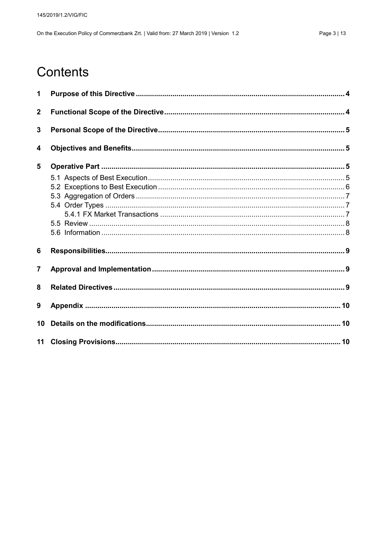# Contents

| 1                       |  |
|-------------------------|--|
| $\boldsymbol{2}$        |  |
| 3                       |  |
| 4                       |  |
| 5                       |  |
|                         |  |
|                         |  |
|                         |  |
|                         |  |
|                         |  |
|                         |  |
|                         |  |
| 6                       |  |
| $\overline{\mathbf{7}}$ |  |
|                         |  |
| 8                       |  |
| 9                       |  |
| 10                      |  |
|                         |  |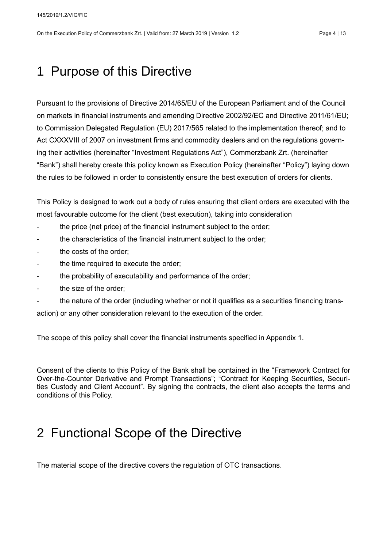# <span id="page-3-0"></span>1 Purpose of this Directive

Pursuant to the provisions of Directive 2014/65/EU of the European Parliament and of the Council on markets in financial instruments and amending Directive 2002/92/EC and Directive 2011/61/EU; to Commission Delegated Regulation (EU) 2017/565 related to the implementation thereof; and to Act CXXXVIII of 2007 on investment firms and commodity dealers and on the regulations governing their activities (hereinafter "Investment Regulations Act"), Commerzbank Zrt. (hereinafter "Bank") shall hereby create this policy known as Execution Policy (hereinafter "Policy") laying down the rules to be followed in order to consistently ensure the best execution of orders for clients.

This Policy is designed to work out a body of rules ensuring that client orders are executed with the most favourable outcome for the client (best execution), taking into consideration

- the price (net price) of the financial instrument subject to the order;
- the characteristics of the financial instrument subject to the order;
- the costs of the order:
- the time required to execute the order;
- the probability of executability and performance of the order;
- the size of the order;
- the nature of the order (including whether or not it qualifies as a securities financing transaction) or any other consideration relevant to the execution of the order.

The scope of this policy shall cover the financial instruments specified in Appendix 1.

Consent of the clients to this Policy of the Bank shall be contained in the "Framework Contract for Over-the-Counter Derivative and Prompt Transactions"; "Contract for Keeping Securities, Securities Custody and Client Account". By signing the contracts, the client also accepts the terms and conditions of this Policy.

# <span id="page-3-1"></span>2 Functional Scope of the Directive

The material scope of the directive covers the regulation of OTC transactions.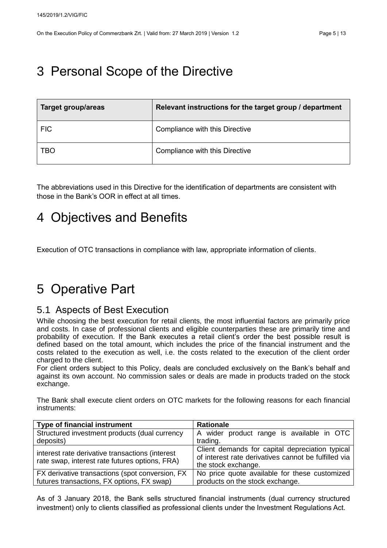# <span id="page-4-0"></span>3 Personal Scope of the Directive

| Target group/areas | Relevant instructions for the target group / department |
|--------------------|---------------------------------------------------------|
| <b>FIC</b>         | Compliance with this Directive                          |
| TBO                | Compliance with this Directive                          |

The abbreviations used in this Directive for the identification of departments are consistent with those in the Bank's OOR in effect at all times.

# <span id="page-4-1"></span>4 Objectives and Benefits

Execution of OTC transactions in compliance with law, appropriate information of clients.

# <span id="page-4-2"></span>5 Operative Part

### <span id="page-4-3"></span>5.1 Aspects of Best Execution

While choosing the best execution for retail clients, the most influential factors are primarily price and costs. In case of professional clients and eligible counterparties these are primarily time and probability of execution. If the Bank executes a retail client's order the best possible result is defined based on the total amount, which includes the price of the financial instrument and the costs related to the execution as well, i.e. the costs related to the execution of the client order charged to the client.

For client orders subject to this Policy, deals are concluded exclusively on the Bank's behalf and against its own account. No commission sales or deals are made in products traded on the stock exchange.

The Bank shall execute client orders on OTC markets for the following reasons for each financial instruments:

| <b>Type of financial instrument</b>                                                               | <b>Rationale</b>                                                                                                               |
|---------------------------------------------------------------------------------------------------|--------------------------------------------------------------------------------------------------------------------------------|
| Structured investment products (dual currency                                                     | A wider product range is available in OTC                                                                                      |
| deposits)                                                                                         | trading.                                                                                                                       |
| interest rate derivative transactions (interest<br>rate swap, interest rate futures options, FRA) | Client demands for capital depreciation typical<br>of interest rate derivatives cannot be fulfilled via<br>the stock exchange. |
| FX derivative transactions (spot conversion, FX<br>futures transactions, FX options, FX swap)     | No price quote available for these customized<br>products on the stock exchange.                                               |

As of 3 January 2018, the Bank sells structured financial instruments (dual currency structured investment) only to clients classified as professional clients under the Investment Regulations Act.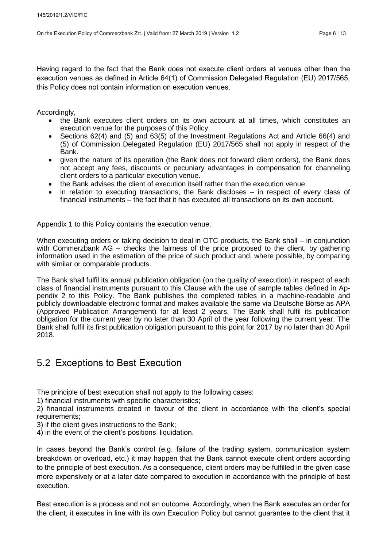Accordingly,

- the Bank executes client orders on its own account at all times, which constitutes an execution venue for the purposes of this Policy.
- Sections 62(4) and (5) and 63(5) of the Investment Regulations Act and Article 66(4) and (5) of Commission Delegated Regulation (EU) 2017/565 shall not apply in respect of the Bank.
- given the nature of its operation (the Bank does not forward client orders), the Bank does not accept any fees, discounts or pecuniary advantages in compensation for channeling client orders to a particular execution venue.
- the Bank advises the client of execution itself rather than the execution venue.
- in relation to executing transactions, the Bank discloses in respect of every class of financial instruments – the fact that it has executed all transactions on its own account.

Appendix 1 to this Policy contains the execution venue.

When executing orders or taking decision to deal in OTC products, the Bank shall – in conjunction with Commerzbank AG – checks the fairness of the price proposed to the client, by gathering information used in the estimation of the price of such product and, where possible, by comparing with similar or comparable products.

The Bank shall fulfil its annual publication obligation (on the quality of execution) in respect of each class of financial instruments pursuant to this Clause with the use of sample tables defined in Appendix 2 to this Policy. The Bank publishes the completed tables in a machine-readable and publicly downloadable electronic format and makes available the same via Deutsche Börse as APA (Approved Publication Arrangement) for at least 2 years. The Bank shall fulfil its publication obligation for the current year by no later than 30 April of the year following the current year. The Bank shall fulfil its first publication obligation pursuant to this point for 2017 by no later than 30 April 2018.

## <span id="page-5-0"></span>5.2 Exceptions to Best Execution

The principle of best execution shall not apply to the following cases:

1) financial instruments with specific characteristics;

2) financial instruments created in favour of the client in accordance with the client's special requirements;

3) if the client gives instructions to the Bank;

4) in the event of the client's positions' liquidation.

In cases beyond the Bank's control (e.g. failure of the trading system, communication system breakdown or overload, etc.) it may happen that the Bank cannot execute client orders according to the principle of best execution. As a consequence, client orders may be fulfilled in the given case more expensively or at a later date compared to execution in accordance with the principle of best execution.

Best execution is a process and not an outcome. Accordingly, when the Bank executes an order for the client, it executes in line with its own Execution Policy but cannot guarantee to the client that it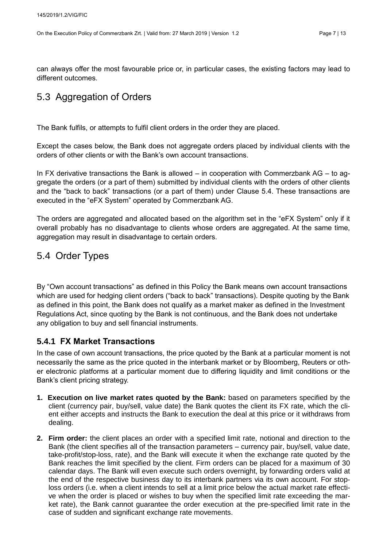can always offer the most favourable price or, in particular cases, the existing factors may lead to different outcomes.

## <span id="page-6-0"></span>5.3 Aggregation of Orders

The Bank fulfils, or attempts to fulfil client orders in the order they are placed.

Except the cases below, the Bank does not aggregate orders placed by individual clients with the orders of other clients or with the Bank's own account transactions.

In FX derivative transactions the Bank is allowed – in cooperation with Commerzbank AG – to aggregate the orders (or a part of them) submitted by individual clients with the orders of other clients and the "back to back" transactions (or a part of them) under Clause 5.4. These transactions are executed in the "eFX System" operated by Commerzbank AG.

The orders are aggregated and allocated based on the algorithm set in the "eFX System" only if it overall probably has no disadvantage to clients whose orders are aggregated. At the same time, aggregation may result in disadvantage to certain orders.

### <span id="page-6-1"></span>5.4 Order Types

By "Own account transactions" as defined in this Policy the Bank means own account transactions which are used for hedging client orders ("back to back" transactions). Despite quoting by the Bank as defined in this point, the Bank does not qualify as a market maker as defined in the Investment Regulations Act, since quoting by the Bank is not continuous, and the Bank does not undertake any obligation to buy and sell financial instruments.

### <span id="page-6-2"></span>**5.4.1 FX Market Transactions**

In the case of own account transactions, the price quoted by the Bank at a particular moment is not necessarily the same as the price quoted in the interbank market or by Bloomberg, Reuters or other electronic platforms at a particular moment due to differing liquidity and limit conditions or the Bank's client pricing strategy.

- **1. Execution on live market rates quoted by the Bank:** based on parameters specified by the client (currency pair, buy/sell, value date) the Bank quotes the client its FX rate, which the client either accepts and instructs the Bank to execution the deal at this price or it withdraws from dealing.
- **2. Firm order:** the client places an order with a specified limit rate, notional and direction to the Bank (the client specifies all of the transaction parameters – currency pair, buy/sell, value date, take-profit/stop-loss, rate), and the Bank will execute it when the exchange rate quoted by the Bank reaches the limit specified by the client. Firm orders can be placed for a maximum of 30 calendar days. The Bank will even execute such orders overnight, by forwarding orders valid at the end of the respective business day to its interbank partners via its own account. For stoploss orders (i.e. when a client intends to sell at a limit price below the actual market rate effective when the order is placed or wishes to buy when the specified limit rate exceeding the market rate), the Bank cannot guarantee the order execution at the pre-specified limit rate in the case of sudden and significant exchange rate movements.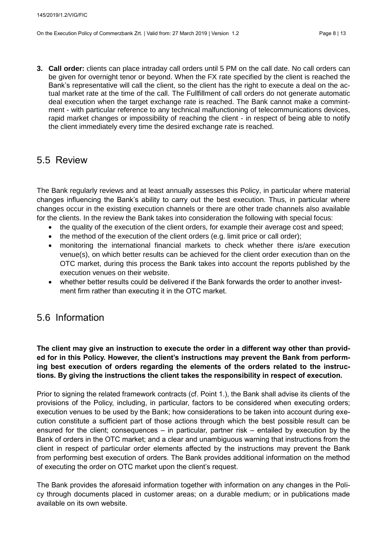**3. Call order:** clients can place intraday call orders until 5 PM on the call date. No call orders can be given for overnight tenor or beyond. When the FX rate specified by the client is reached the Bank's representative will call the client, so the client has the right to execute a deal on the actual market rate at the time of the call. The Fullfillment of call orders do not generate automatic deal execution when the target exchange rate is reached. The Bank cannot make a commintment - with particular reference to any technical malfunctioning of telecommunications devices, rapid market changes or impossibility of reaching the client - in respect of being able to notify the client immediately every time the desired exchange rate is reached.

### <span id="page-7-0"></span>5.5 Review

The Bank regularly reviews and at least annually assesses this Policy, in particular where material changes influencing the Bank's ability to carry out the best execution. Thus, in particular where changes occur in the existing execution channels or there are other trade channels also available for the clients. In the review the Bank takes into consideration the following with special focus:

- the quality of the execution of the client orders, for example their average cost and speed;
- the method of the execution of the client orders (e.g. limit price or call order);
- monitoring the international financial markets to check whether there is/are execution venue(s), on which better results can be achieved for the client order execution than on the OTC market, during this process the Bank takes into account the reports published by the execution venues on their website.
- whether better results could be delivered if the Bank forwards the order to another investment firm rather than executing it in the OTC market.

### <span id="page-7-1"></span>5.6 Information

#### **The client may give an instruction to execute the order in a different way other than provided for in this Policy. However, the client's instructions may prevent the Bank from performing best execution of orders regarding the elements of the orders related to the instructions. By giving the instructions the client takes the responsibility in respect of execution.**

Prior to signing the related framework contracts (cf. Point 1.), the Bank shall advise its clients of the provisions of the Policy, including, in particular, factors to be considered when executing orders; execution venues to be used by the Bank; how considerations to be taken into account during execution constitute a sufficient part of those actions through which the best possible result can be ensured for the client; consequences – in particular, partner risk – entailed by execution by the Bank of orders in the OTC market; and a clear and unambiguous warning that instructions from the client in respect of particular order elements affected by the instructions may prevent the Bank from performing best execution of orders. The Bank provides additional information on the method of executing the order on OTC market upon the client's request.

The Bank provides the aforesaid information together with information on any changes in the Policy through documents placed in customer areas; on a durable medium; or in publications made available on its own website.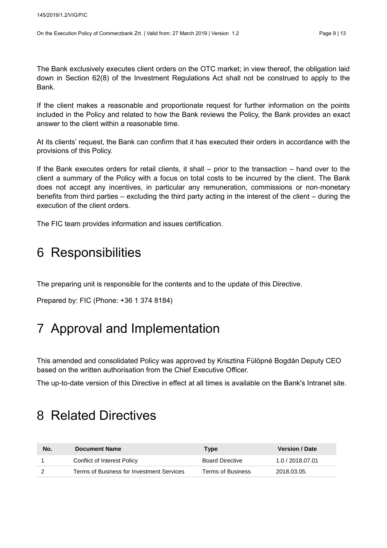The Bank exclusively executes client orders on the OTC market; in view thereof, the obligation laid down in Section 62(8) of the Investment Regulations Act shall not be construed to apply to the Bank.

If the client makes a reasonable and proportionate request for further information on the points included in the Policy and related to how the Bank reviews the Policy, the Bank provides an exact answer to the client within a reasonable time.

At its clients' request, the Bank can confirm that it has executed their orders in accordance with the provisions of this Policy.

If the Bank executes orders for retail clients, it shall – prior to the transaction – hand over to the client a summary of the Policy with a focus on total costs to be incurred by the client. The Bank does not accept any incentives, in particular any remuneration, commissions or non-monetary benefits from third parties – excluding the third party acting in the interest of the client – during the execution of the client orders.

The FIC team provides information and issues certification.

# <span id="page-8-0"></span>6 Responsibilities

The preparing unit is responsible for the contents and to the update of this Directive.

Prepared by: FIC (Phone: +36 1 374 8184)

# <span id="page-8-1"></span>7 Approval and Implementation

This amended and consolidated Policy was approved by Krisztina Fülöpné Bogdán Deputy CEO based on the written authorisation from the Chief Executive Officer.

The up-to-date version of this Directive in effect at all times is available on the Bank's Intranet site.

# <span id="page-8-2"></span>8 Related Directives

| No. | <b>Document Name</b>                      | <b>Type</b>            | <b>Version / Date</b> |
|-----|-------------------------------------------|------------------------|-----------------------|
|     | Conflict of Interest Policy               | <b>Board Directive</b> | 1.0 / 2018.07.01      |
|     | Terms of Business for Investment Services | Terms of Business      | 2018.03.05.           |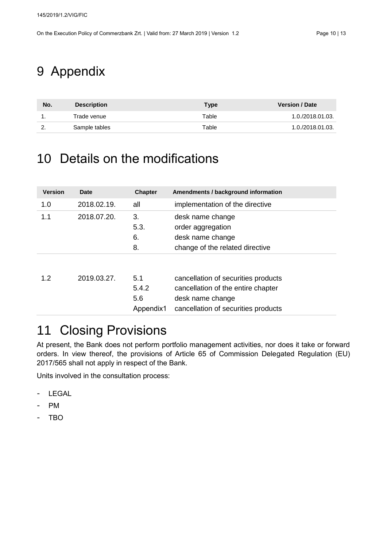# <span id="page-9-0"></span>9 Appendix

| No. | <b>Description</b> | Type  | <b>Version / Date</b> |
|-----|--------------------|-------|-----------------------|
|     | Trade venue        | Table | 1.0./2018.01.03.      |
|     | Sample tables      | Table | 1.0./2018.01.03.      |

# <span id="page-9-1"></span>10 Details on the modifications

| <b>Version</b> | <b>Date</b> | <b>Chapter</b>                   | Amendments / background information                                                                                                  |
|----------------|-------------|----------------------------------|--------------------------------------------------------------------------------------------------------------------------------------|
| 1.0            | 2018.02.19. | all                              | implementation of the directive                                                                                                      |
| 1.1            | 2018.07.20. | 3.                               | desk name change                                                                                                                     |
|                |             | 5.3.                             | order aggregation                                                                                                                    |
|                |             | 6.                               | desk name change                                                                                                                     |
|                |             | 8.                               | change of the related directive                                                                                                      |
| 1.2            | 2019.03.27  | 5.1<br>5.4.2<br>5.6<br>Appendix1 | cancellation of securities products<br>cancellation of the entire chapter<br>desk name change<br>cancellation of securities products |

# <span id="page-9-2"></span>11 Closing Provisions

At present, the Bank does not perform portfolio management activities, nor does it take or forward orders. In view thereof, the provisions of Article 65 of Commission Delegated Regulation (EU) 2017/565 shall not apply in respect of the Bank.

Units involved in the consultation process:

- LEGAL
- PM
- TBO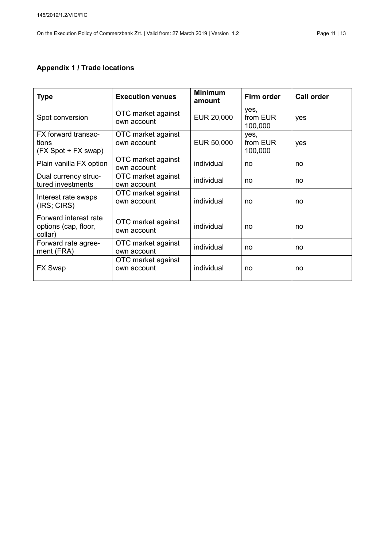### **Appendix 1 / Trade locations**

| <b>Type</b>                                              | <b>Execution venues</b>           | <b>Minimum</b><br>amount | Firm order                  | <b>Call order</b> |
|----------------------------------------------------------|-----------------------------------|--------------------------|-----------------------------|-------------------|
| Spot conversion                                          | OTC market against<br>own account | EUR 20,000               | yes,<br>from EUR<br>100,000 | yes               |
| FX forward transac-<br>tions<br>(FX Spot + FX swap)      | OTC market against<br>own account | EUR 50,000               | yes,<br>from EUR<br>100,000 | yes               |
| Plain vanilla FX option                                  | OTC market against<br>own account | individual               | no                          | no                |
| Dual currency struc-<br>tured investments                | OTC market against<br>own account | individual               | no                          | no                |
| Interest rate swaps<br>(IRS; CIRS)                       | OTC market against<br>own account | individual               | no                          | no                |
| Forward interest rate<br>options (cap, floor,<br>collar) | OTC market against<br>own account | individual               | no                          | no                |
| Forward rate agree-<br>ment (FRA)                        | OTC market against<br>own account | individual               | no                          | no                |
| <b>FX Swap</b>                                           | OTC market against<br>own account | individual               | no                          | no                |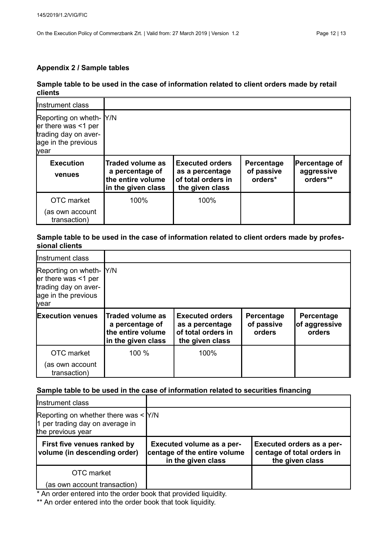#### **Appendix 2 / Sample tables**

#### **Sample table to be used in the case of information related to client orders made by retail clients**

| <b>Instrument class</b>                                                                                       |                                                                                       |                                                                                    |                                     |                                                |
|---------------------------------------------------------------------------------------------------------------|---------------------------------------------------------------------------------------|------------------------------------------------------------------------------------|-------------------------------------|------------------------------------------------|
| Reporting on wheth- Y/N<br>$er$ there was $\leq 1$ per<br>trading day on aver-<br>age in the previous<br>vear |                                                                                       |                                                                                    |                                     |                                                |
| <b>Execution</b><br>venues                                                                                    | <b>Traded volume as</b><br>a percentage of<br>the entire volume<br>in the given class | <b>Executed orders</b><br>as a percentage<br>of total orders in<br>the given class | Percentage<br>of passive<br>orders* | <b>Percentage of</b><br>aggressive<br>orders** |
| OTC market<br>(as own account<br>transaction)                                                                 | 100%                                                                                  | 100%                                                                               |                                     |                                                |

#### **Sample table to be used in the case of information related to client orders made by professional clients**

| Instrument class                                                                                              |                                                                                       |                                                                                    |                                    |                                       |
|---------------------------------------------------------------------------------------------------------------|---------------------------------------------------------------------------------------|------------------------------------------------------------------------------------|------------------------------------|---------------------------------------|
| Reporting on wheth- Y/N<br>$er$ there was $\leq 1$ per<br>trading day on aver-<br>age in the previous<br>year |                                                                                       |                                                                                    |                                    |                                       |
| <b>Execution venues</b>                                                                                       | <b>Traded volume as</b><br>a percentage of<br>the entire volume<br>in the given class | <b>Executed orders</b><br>as a percentage<br>of total orders in<br>the given class | Percentage<br>of passive<br>orders | Percentage<br>of aggressive<br>orders |
| OTC market<br>(as own account<br>transaction)                                                                 | 100 %                                                                                 | 100%                                                                               |                                    |                                       |

#### **Sample table to be used in the case of information related to securities financing**

| Instrument class                                                                                  |                                                                                 |                                                                            |
|---------------------------------------------------------------------------------------------------|---------------------------------------------------------------------------------|----------------------------------------------------------------------------|
| Reporting on whether there was $\leq$ Y/N<br>1 per trading day on average in<br>the previous year |                                                                                 |                                                                            |
| First five venues ranked by<br>volume (in descending order)                                       | Executed volume as a per-<br>centage of the entire volume<br>in the given class | Executed orders as a per-<br>centage of total orders in<br>the given class |
| OTC market                                                                                        |                                                                                 |                                                                            |
| (as own account transaction)                                                                      |                                                                                 |                                                                            |

\* An order entered into the order book that provided liquidity.

\*\* An order entered into the order book that took liquidity.